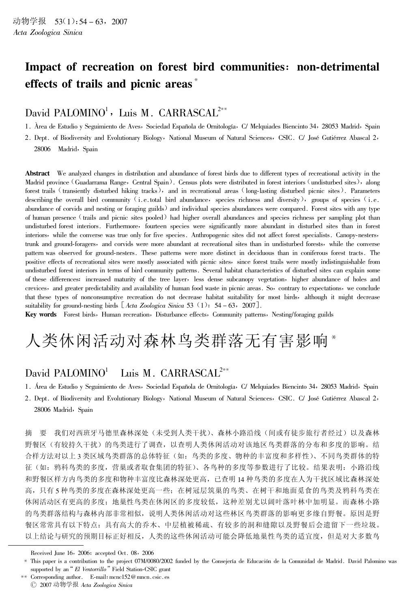# Impact of recreation on forest bird communities: non-detrimental effects of trails and picnic areas<sup>\*</sup>

## David PALOMINO<sup>1</sup>, Luis M. CARRASCAL<sup>2\*\*</sup>

1. Àrea de Estudio y Seguimiento de Aves, Sociedad Española de Ornitología, C/ Melquiades Biencinto 34, 28053 Madrid, Spain

2. Dept. of Biodiversity and Evolutionary Biology, National Museum of Natural Sciences, CSIC. C/ José Gutiérrez Abascal 2, 28006 Madrid, Spain

Abstract We analyzed changes in distribution and abundance of forest birds due to different types of recreational activity in the Madrid province (Guadarrama Range, Central Spain). Census plots were distributed in forest interiors (undisturbed sites), along forest trails (transiently disturbed hiking tracks), and in recreational areas (long-lasting disturbed picnic sites). Parameters describing the overall bird community (i.e.total bird abundance, species richness and diversity), groups of species (i.e. abundance of corvids and nesting or foraging guilds) and individual species abundances were compared. Forest sites with any type of human presence (trails and picnic sites pooled) had higher overall abundances and species richness per sampling plot than undisturbed forest interiors. Furthermore, fourteen species were significantly more abundant in disturbed sites than in forest interiors, while the converse was true only for five species. Anthropogenic sites did not affect forest specialists. Canopy-nesters, trunk and ground-foragers, and corvids were more abundant at recreational sites than in undisturbed forests, while the converse pattern was observed for ground-nesters. These patterns were more distinct in deciduous than in coniferous forest tracts. The positive effects of recreational sites were mostly associated with picnic sites, since forest trails were mostly indistinguishable from undisturbed forest interiors in terms of bird community patterns. Several habitat characteristics of disturbed sites can explain some of these differences: increased maturity of the tree layer, less dense subcanopy vegetation, higher abundance of holes and crevices, and greater predictability and availability of human food waste in picnic areas. So, contrary to expectations, we conclude that these types of nonconsumptive recreation do not decrease habitat suitability for most birds, although it might decrease suitability for ground-nesting birds  $[Acta\ Zoological\ Sinica\ 53 (1): 54-63, 2007]$ .

Key words Forest birds, Human recreation, Disturbance effects, Community patterns, Nesting/foraging guilds

# 人类休闲活动对森林鸟类群落无有害影响\*

### David PALOMINO<sup>1</sup> Luis M. CARRASCAL<sup>2\*\*</sup>

- 1. Área de Estudio y Seguimiento de Aves, Sociedad Española de Ornitología, C/ Melquiades Biencinto 34, 28053 Madrid, Spain
- 2. Dept. of Biodiversity and Evolutionary Biology, National Museum of Natural Sciences, CSIC. C/ José Gutiérrez Abascal 2, 28006 Madrid, Spain

我们对西班牙马德里森林深处(未受到人类干扰)、森林小路沿线(间或有徒步旅行者经过)以及森林 摘 要 野餐区(有较持久干扰)的鸟类进行了调查,以查明人类休闲活动对该地区鸟类群落的分布和多度的影响。结 合样方法对以上3类区域鸟类群落的总体特征(如: 鸟类的多度、物种的丰富度和多样性)、不同鸟类群体的特 征(如: 鸦科鸟类的多度,营巢或者取食集团的特征)、各鸟种的多度等参数进行了比较。结果表明: 小路沿线 和野餐区样方内鸟类的多度和物种丰富度比森林深处更高,已查明14种鸟类的多度在人为干扰区域比森林深处 高, 只有5种鸟类的多度在森林深处更高一些; 在树冠层筑巢的鸟类、在树干和地面觅食的鸟类及鸦科鸟类在 休闲活动区有更高的多度; 地巢性鸟类在休闲区的多度较低, 这种差别尤以阔叶落叶林中加明显。而森林小路 的鸟类群落结构与森林内部非常相似,说明人类休闲活动对这些林区鸟类群落的影响更多缘自野餐。原因是野 餐区常常具有以下特点: 具有高大的乔木、中层植被稀疏、有较多的洞和缝隙以及野餐后会遗留下一些垃圾。 以上结论与研究的预期目标正好相反,人类的这些休闲活动可能会降低地巢性鸟类的适宜度,但是对大多数鸟

Received June 16, 2006; accepted Oct. 08, 2006

<sup>\*</sup> This paper is a contribution to the project 07M/0080/2002 funded by the Consejería de Educación de la Comunidad de Madrid. David Palomino was supported by an "El Ventorrillo" Field Station-CSIC grant

<sup>\*\*</sup> Corresponding author. E-mail: mcnc152@ mncn.csic.es

<sup>© 2007</sup> 动物学报 Acta Zoologica Sinica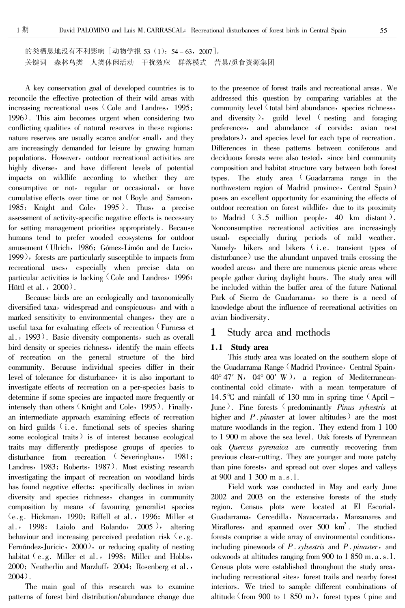的类栖息地没有不利影响 [动物学报 53 (1): 54-63, 2007]。 关键词 森林鸟类 人类休闲活动 干扰效应 群落模式 营巢/觅食资源集团

A key conservation goal of developed countries is to reconcile the effective protection of their wild areas with increasing recreational uses (Cole and Landres, 1995; 1996). This aim becomes urgent when considering two conflicting qualities of natural reserves in these regions: nature reserves are usually scarce and/or small, and they are increasingly demanded for leisure by growing human populations. However, outdoor recreational activities are highly diverse, and have different levels of potential impacts on wildlife according to whether they are consumptive or not, regular or occasional, or have cumulative effects over time or not (Boyle and Samson, 1985; Knight and Cole, 1995). Thus, a precise assessment of activity-specific negative effects is necessary for setting management priorities appropriately. Because humans tend to prefer wooded ecosystems for outdoor amusement (Ulrich, 1986; Gómez-Limón and de Lucio, 1999), forests are particularly susceptible to impacts from recreational uses, especially when precise data on particular activities is lacking (Cole and Landres, 1996; Hüttl et al.,  $2000$ .

Because birds are an ecologically and taxonomically diversified taxa, widespread and conspicuous, and with a marked sensitivity to environmental changes, they are a useful taxa for evaluating effects of recreation (Furness et al., 1993). Basic diversity components, such as overall bird density or species richness, identify the main effects of recreation on the general structure of the bird community. Because individual species differ in their level of tolerance for disturbance, it is also important to investigate effects of recreation on a per-species basis to determine if some species are impacted more frequently or intensely than others (Knight and Cole, 1995). Finally, an intermediate approach examining effects of recreation on bird guilds (i.e. functional sets of species sharing some ecological traits) is of interest because ecological traits may differently predispose groups of species to disturbance from recreation (Severinghaus, 1981; Landres, 1983; Roberts, 1987). Most existing research investigating the impact of recreation on woodland birds has found negative effects: specifically declines in avian diversity and species richness, changes in community composition by means of favouring generalist species  $(e.g. Hickman, 1990; Riffell et al., 1996; Miller et$ al., 1998; Laiolo and Rolando,  $2005$ ), altering behaviour and increasing perceived predation risk  $(e, g, g)$ . Fernández-Juricic, 2000), or reducing quality of nesting habitat  $(e.g.$  Miller et al., 1998; Miller and Hobbs, 2000; Neatherlin and Marzluff, 2004; Rosenberg et al.,  $2004$ .

The main goal of this research was to examine patterns of forest bird distribution/abundance change due

to the presence of forest trails and recreational areas. We addressed this question by comparing variables at the community level (total bird abundance, species richness, and diversity), guild level (nesting and foraging preferences, and abundance of corvids: avian nest predators), and species level for each type of recreation. Differences in these patterns between coniferous and deciduous forests were also tested, since bird community composition and habitat structure vary between both forest types. The study area (Guadarrama range in the northwestern region of Madrid province, Central Spain) poses an excellent opportunity for examining the effects of outdoor recreation on forest wildlife, due to its proximity to Madrid  $(3.5 \text{ million people}, 40 \text{ km} \text{ distant}).$ Nonconsumptive recreational activities are increasingly usual, especially during periods of mild weather. Namely, hikers and bikers (i.e. transient types of disturbance) use the abundant unpaved trails crossing the wooded areas, and there are numerous picnic areas where people gather during daylight hours. The study area will be included within the buffer area of the future National Park of Sierra de Guadarrama, so there is a need of knowledge about the influence of recreational activities on avian biodiversity.

#### Study area and methods 1

## 1.1 Study area

This study area was located on the southern slope of the Guadarrama Range (Madrid Province, Central Spain,  $40^{\circ}$  47' N,  $04^{\circ}$  00' W), a region of Mediterraneancontinental cold climate, with a mean temperature of 14.5°C and rainfall of 130 mm in spring time  $\alpha$  (April – June). Pine forests (predominantly *Pinus sylvestris* at higher and  $P.\text{pinaster}$  at lower altitudes) are the most mature woodlands in the region. They extend from 1 100 to 1 900 m above the sea level. Oak forests of Pyrennean oak Quercus pyrenaica are currently recovering from previous clear-cutting. They are younger and more patchy than pine forests, and spread out over slopes and valleys at 900 and 1 300 m a.s.l.

Field work was conducted in May and early June 2002 and 2003 on the extensive forests of the study region. Census plots were located at El Escorial, Guadarrama, Cercedilla, Navacerrada, Manzanares and Miraflores, and spanned over 500 km<sup>2</sup>. The studied forests comprise a wide array of environmental conditions, including pinewoods of  $P$ . sylvestris and  $P$ . pinaster, and oakwoods at altitudes ranging from 900 to 1 850 m.a.s.l. Census plots were established throughout the study area, including recreational sites, forest trails and nearby forest interiors. We tried to sample different combinations of altitude (from 900 to 1 850 m), forest types (pine and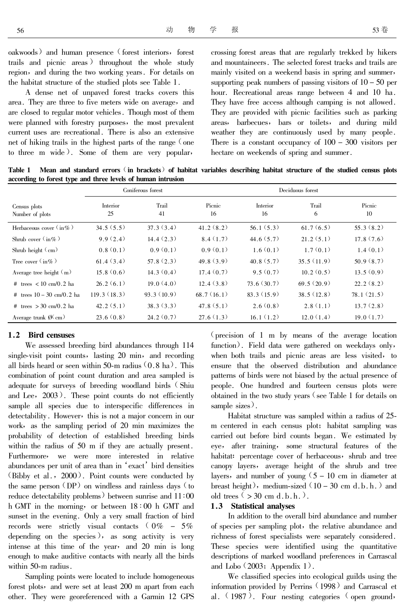oakwoods) and human presence (forest interiors, forest trails and picnic areas) throughout the whole study region, and during the two working years. For details on the habitat structure of the studied plots see Table 1.

A dense net of unpaved forest tracks covers this area. They are three to five meters wide on average, and are closed to regular motor vehicles. Though most of them were planned with forestry purposes, the most prevalent current uses are recreational. There is also an extensive net of hiking trails in the highest parts of the range (one to three m wide). Some of them are very popular,

crossing forest areas that are regularly trekked by hikers and mountaineers. The selected forest tracks and trails are mainly visited on a weekend basis in spring and summer, supporting peak numbers of passing visitors of  $10 - 50$  per hour. Recreational areas range between 4 and 10 ha. They have free access although camping is not allowed. They are provided with picnic facilities such as parking areas, barbecues, bars or toilets, and during mild weather they are continuously used by many people. There is a constant occupancy of  $100 - 300$  visitors per hectare on weekends of spring and summer.

Mean and standard errors (in brackets) of habitat variables describing habitat structure of the studied census plots Table 1 according to forest type and three levels of human intrusion

|                                                        |                       | Coniferous forest | Deciduous forest |                       |            |              |
|--------------------------------------------------------|-----------------------|-------------------|------------------|-----------------------|------------|--------------|
| Census plots<br>Number of plots                        | <b>Interior</b><br>25 | Trail<br>41       | Picnic<br>16     | <b>Interior</b><br>16 | Trail<br>6 | Picnic<br>10 |
| Herbaceous cover $\langle$ in $\%$ )                   | 34.5(5.5)             | 37.3(3.4)         | 41.2(8.2)        | 56.1(5.3)             | 61.7(6.5)  | 55.3(8.2)    |
| Shrub cover $\langle$ in $\%$ )                        | 9.9(2.4)              | 14.4(2.3)         | 8.4(1.7)         | 44.6(5.7)             | 21.2(5.1)  | 17.8(7.6)    |
| Shrub height $\langle$ cm)                             | 0.8(0.1)              | 0.9(0.1)          | 0.9(0.1)         | 1.6(0.1)              | 1.7(0.1)   | 1.4(0.1)     |
| Tree cover $\left(\text{in}\% \right)$                 | 61.4(3.4)             | 57.8(2.3)         | 49.8(3.9)        | 40.8(5.7)             | 35.5(11.9) | 50.9(8.7)    |
| Average tree height $(m)$                              | 15.8(0.6)             | 14.3(0.4)         | 17.4(0.7)        | 9.5(0.7)              | 10.2(0.5)  | 13.5(0.9)    |
| # trees $\langle 10 \text{ cm}/0.2 \text{ ha} \rangle$ | 26.2(6.1)             | 19.0(4.0)         | 12.4(3.8)        | 73.6(30.7)            | 69.5(20.9) | 22.2(8.2)    |
| # trees $10 - 30$ cm/0.2 ha                            | 119.3(18.3)           | 93.3(10.9)        | 68.7(16.1)       | 83.3(15.9)            | 38.5(12.8) | 78.1(21.5)   |
| # trees $> 30$ cm/0.2 ha                               | 42.2(5.1)             | 38.3(3.3)         | 47.8(5.1)        | 2.6(0.8)              | 2.8(1.1)   | 13.7(2.8)    |
| Average trunk $\emptyset$ (cm)                         | 23.6(0.8)             | 24.2(0.7)         | 27.6(1.3)        | 16.1(1.2)             | 12.0(1.4)  | 19.0(1.7)    |

## 1.2 Bird censuses

We assessed breeding bird abundances through 114 single-visit point counts, lasting 20 min, and recording all birds heard or seen within 50-m radius  $(0.8 \text{ ha})$ . This combination of point count duration and area sampled is adequate for surveys of breeding woodland birds (Shiu and Lee, 2003). These point counts do not efficiently sample all species due to interspecific differences in detectability. However, this is not a major concern in our work, as the sampling period of 20 min maximizes the probability of detection of established breeding birds within the radius of 50 m if they are actually present. Furthermore, we were more interested in relative abundances per unit of area than in 'exact' bird densities (Bibby et al., 2000). Point counts were conducted by the same person (DP) on windless and rainless days (to reduce detectability problems) between sunrise and  $11:00$ h GMT in the morning, or between  $18:00$  h GMT and sunset in the evening. Only a very small fraction of bird records were strictly visual contacts  $0\% - 5\%$ depending on the species), as song activity is very intense at this time of the year, and 20 min is long enough to make auditive contacts with nearly all the birds within 50-m radius.

Sampling points were located to include homogeneous forest plots, and were set at least 200 m apart from each other. They were georeferenced with a Garmin 12 GPS

(precision of  $1 \text{ m}$  by means of the average location function). Field data were gathered on weekdays only, when both trails and picnic areas are less visited, to ensure that the observed distribution and abundance patterns of birds were not biased by the actual presence of people. One hundred and fourteen census plots were obtained in the two study years  $\zeta$  see Table 1 for details on sample sizes).

Habitat structure was sampled within a radius of 25m centered in each census plot; habitat sampling was carried out before bird counts began. We estimated by eye, after training, some structural features of the habitat: percentage cover of herbaceous, shrub and tree canopy layers, average height of the shrub and tree layers, and number of young  $(5 - 10 \text{ cm})$  in diameter at breast height), medium-sized  $(10 - 30 \text{ cm d.b.h.})$  and old trees  $($  > 30 cm d.b.h.).

## 1.3 Statistical analyses

In addition to the overall bird abundance and number of species per sampling plot, the relative abundance and richness of forest specialists were separately considered. These species were identified using the quantitative descriptions of marked woodland preferences in Carrascal and Lobo  $(2003;$  Appendix 1).

We classified species into ecological guilds using the information provided by Perrins (1998) and Carrascal et al.  $(1987)$ . Four nesting categories  $($  open ground,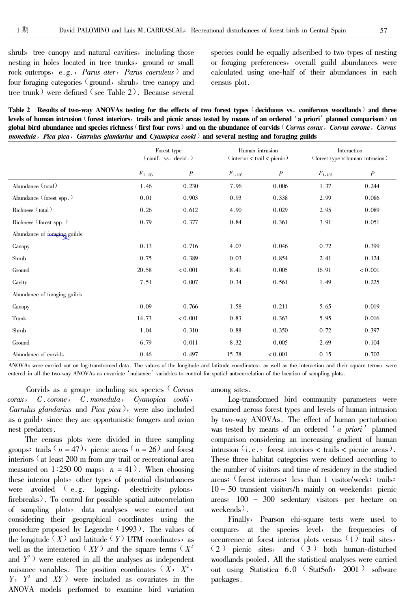shrub, tree canopy and natural cavities, including those nesting in holes located in tree trunks, ground or small rock outcrops, e.g., *Parus ater*, *Parus caeruleus* ) and four foraging categories (ground, shrub, tree canopy and tree trunk) were defined (see Table 2). Because several

species could be equally adscribed to two types of nesting or foraging preferences, overall guild abundances were calculated using one-half of their abundances in each census plot.

Table 2 Results of two-way ANOVAs testing for the effects of two forest types (deciduous vs. coniferous woodlands) and three levels of human intrusion (forest interiors, trails and picnic areas tested by means of an ordered 'a priori' planned comparison) on global bird abundance and species richness (first four rows) and on the abundance of corvids (Corvus corax, Corvus corone, Corvus monedula, Pica pica, Garrulus glandarius and Cyanopica cooki) and several nesting and foraging guilds

|                              | Forest type<br>$\left(\text{conif. vs. }\text{decid.}\right)$ |                  | Human intrusion<br>$\frac{1}{\pi}$ (interior < trail < picnic) |                  | Interaction<br>(forest type $\times$ human intrusion) |                  |
|------------------------------|---------------------------------------------------------------|------------------|----------------------------------------------------------------|------------------|-------------------------------------------------------|------------------|
|                              | $F_{1,103}$                                                   | $\boldsymbol{P}$ | $F_{1,103}$                                                    | $\boldsymbol{P}$ | $F_{1,103}$                                           | $\boldsymbol{P}$ |
| Abundance (total)            | 1.46                                                          | 0.230            | 7.96                                                           | 0.006            | 1.37                                                  | 0.244            |
| Abundance (forest spp.)      | 0.01                                                          | 0.903            | 0.93                                                           | 0.338            | 2.99                                                  | 0.086            |
| Richness (total)             | 0.26                                                          | 0.612            | 4.90                                                           | 0.029            | 2.95                                                  | 0.089            |
| Richness (forest spp.)       | 0.79                                                          | 0.377            | 0.84                                                           | 0.361            | 3.91                                                  | 0.051            |
| Abundance of foraging guilds |                                                               |                  |                                                                |                  |                                                       |                  |
| Canopy                       | 0.13                                                          | 0.716            | 4.07                                                           | 0.046            | 0.72                                                  | 0.399            |
| Shrub                        | 0.75                                                          | 0.389            | 0.03                                                           | 0.854            | 2.41                                                  | 0.124            |
| Ground                       | 20.58                                                         | < 0.001          | 8.41                                                           | 0.005            | 16.91                                                 | < 0.001          |
| Cavity                       | 7.51                                                          | 0.007            | 0.34                                                           | 0.561            | 1.49                                                  | 0.225            |
| Abundance of foraging guilds |                                                               |                  |                                                                |                  |                                                       |                  |
| Canopy                       | 0.09                                                          | 0.766            | 1.58                                                           | 0.211            | 5.65                                                  | 0.019            |
| Trunk                        | 14.73                                                         | < 0.001          | 0.83                                                           | 0.363            | 5.95                                                  | 0.016            |
| Shrub                        | 1.04                                                          | 0.310            | 0.88                                                           | 0.350            | 0.72                                                  | 0.397            |
| Ground                       | 6.79                                                          | 0.011            | 8.32                                                           | 0.005            | 2.69                                                  | 0.104            |
| Abundance of corvids         | 0.46                                                          | 0.497            | 15.78                                                          | < 0.001          | 0.15                                                  | 0.702            |

ANOVAs were carried out on log-transformed data. The values of the longitude and latitude coordinates, as well as the interaction and their square terms, were entered in all the two-way ANOVAs as covariate 'nuisance' variables to control for spatial autocorrelation of the location of sampling plots.

Corvids as a group, including six species (Corvus  $corax \rightarrow C \cdot corone \rightarrow C \cdot monedula \rightarrow Cyanopica \cosh i$ Garrulus glandarius and Pica pica), were also included as a guild, since they are opportunistic foragers and avian nest predators.

The census plots were divided in three sampling groups: trails  $(n = 47)$ , picnic areas  $(n = 26)$  and forest interiors (at least 200 m from any trail or recreational area measured on 1:250 00 maps;  $n = 41$ ). When choosing these interior plots, other types of potential disturbances were avoided (e.g. logging, electricity pylons, firebreaks). To control for possible spatial autocorrelation of sampling plots, data analyses were carried out considering their geographical coordinates using the procedure proposed by Legendre (1993). The values of the longitude  $(X)$  and latitude  $(Y)$  UTM coordinates, as well as the interaction  $(XY)$  and the square terms  $(X^2)$ and  $Y^2$ ) were entered in all the analyses as independent nuisance variables. The position coordinates  $(X, X^2, X^3)$  $Y$ ,  $Y^2$  and  $XY$ ) were included as covariates in the ANOVA models performed to examine bird variation

among sites.

Log-transformed bird community parameters were examined across forest types and levels of human intrusion by two-way ANOVAs. The effect of human perturbation was tested by means of an ordered 'a priori' planned comparison considering an increasing gradient of human intrusion  $(i.e.,$  forest interiors  $\langle$  trails  $\langle$  picnic areas). These three habitat categories were defined according to the number of visitors and time of residency in the studied areas: (forest interiors: less than 1 visitor/week; trails:  $10 - 50$  transient visitors/h mainly on weekends; picnic areas:  $100 - 300$  sedentary visitors per hectare on  $weekends$ ).

Finally, Pearson chi-square tests were used to compare, at the species level, the frequencies of occurrence at forest interior plots versus (1) trail sites, (2) picnic sites, and (3) both human-disturbed woodlands pooled. All the statistical analyses were carried out using Statistica 6.0 (StatSoft, 2001) software packages.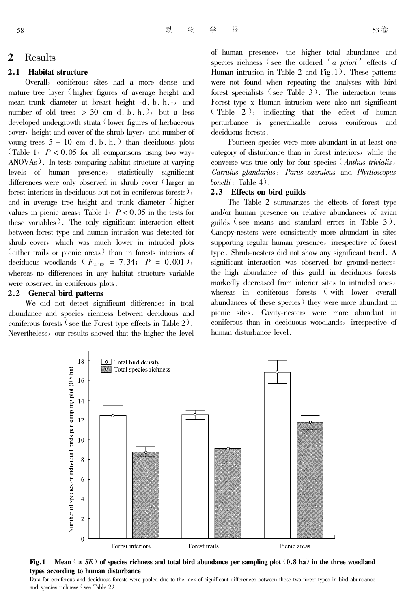#### $\overline{2}$ Results

#### $2.1$ **Habitat structure**

Overall, coniferous sites had a more dense and mature tree layer (higher figures of average height and mean trunk diameter at breast height -d. b. h.-, and number of old trees  $> 30$  cm d. b. h.), but a less developed undergrowth strata (lower figures of herbaceous cover, height and cover of the shrub layer, and number of young trees  $5 - 10$  cm d. b. h.) than deciduous plots (Table 1;  $P < 0.05$  for all comparisons using two way-ANOVAs). In tests comparing habitat structure at varying levels of human presence, statistically significant differences were only observed in shrub cover (larger in forest interiors in deciduous but not in coniferous forests), and in average tree height and trunk diameter (higher values in picnic areas; Table 1;  $P < 0.05$  in the tests for these variables). The only significant interaction effect between forest type and human intrusion was detected for shrub cover, which was much lower in intruded plots (either trails or picnic areas) than in forests interiors of deciduous woodlands ( $F_{2,108} = 7.34$ ;  $P = 0.001$ ), whereas no differences in any habitat structure variable were observed in coniferous plots.

## 2.2 General bird patterns

We did not detect significant differences in total abundance and species richness between deciduous and coniferous forests  $\zeta$  see the Forest type effects in Table 2). Nevertheless, our results showed that the higher the level of human presence, the higher total abundance and species richness (see the ordered 'a priori' effects of Human intrusion in Table 2 and Fig.  $1$ ). These patterns were not found when repeating the analyses with bird forest specialists  $($ see Table 3 $)$ . The interaction terms Forest type x Human intrusion were also not significant  $\text{Table 2}$ , indicating that the effect of human perturbance is generalizable across coniferous and deciduous forests.

Fourteen species were more abundant in at least one category of disturbance than in forest interiors, while the converse was true only for four species (Anthus trivialis, Garrulus glandarius, Parus caeruleus and Phylloscopus bonelli; Table  $4$ ).

#### $2.3$ **Effects** on bird guilds

The Table 2 summarizes the effects of forest type and/or human presence on relative abundances of avian guilds  $\left($  see means and standard errors in Table 3). Canopy-nesters were consistently more abundant in sites supporting regular human presence, irrespective of forest type. Shrub-nesters did not show any significant trend. A significant interaction was observed for ground-nesters: the high abundance of this guild in deciduous forests markedly decreased from interior sites to intruded ones, whereas in coniferous forests (with lower overall abundances of these species) they were more abundant in picnic sites. Cavity-nesters were more abundant in coniferous than in deciduous woodlands, irrespective of human disturbance level.



Fig.1 Mean  $(\pm SE)$  of species richness and total bird abundance per sampling plot  $(0.8 \text{ ha})$  in the three woodland types according to human disturbance

Data for coniferous and deciduous forests were pooled due to the lack of significant differences between these two forest types in bird abundance and species richness (see Table 2).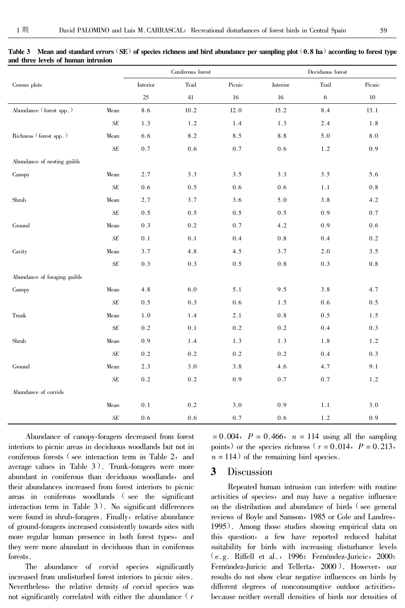|                              |        | Coniferous forest |         | Deciduous forest |          |            |         |
|------------------------------|--------|-------------------|---------|------------------|----------|------------|---------|
| Census plots                 |        | Interior          | Trail   | Picnic           | Interior | Trail      | Picnic  |
|                              |        | 25                | 41      | 16               | 16       | $\sqrt{6}$ | 10      |
| Abundance (forest spp.)      | Mean   | 8.6               | 10.2    | 12.0             | 15.2     | 8.4        | 13.1    |
|                              | $S\!E$ | 1.3               | 1.2     | 1.4              | 1.3      | 2.4        | 1.8     |
| Richness (forest spp.)       | Mean   | 6.6               | 8.2     | 8.5              | 8.8      | 5.0        | $8.0\,$ |
|                              | $S\!E$ | 0.7               | 0.6     | 0.7              | $0.6\,$  | 1.2        | 0.9     |
| Abundance of nesting guilds  |        |                   |         |                  |          |            |         |
| Canopy                       | Mean   | 2.7               | 3.3     | 3.5              | 3.3      | 3.5        | 5.6     |
|                              | $S\!E$ | 0.6               | $0.5\,$ | 0.6              | 0.6      | 1.1        | $0.8\,$ |
| Shrub                        | Mean   | 2.7               | 3.7     | 3.6              | 5.0      | 3.8        | 4.2     |
|                              | $S\!E$ | 0.5               | 0.5     | 0.5              | 0.5      | 0.9        | 0.7     |
| Ground                       | Mean   | 0.3               | 0.2     | 0.7              | 4.2      | 0.9        | $0.6\,$ |
|                              | $S\!E$ | $0.1\,$           | 0.1     | 0.4              | $0.8\,$  | 0.4        | $0.2\,$ |
| Cavity                       | Mean   | 3.7               | 4.8     | 4.5              | 3.7      | 2.0        | 3.5     |
|                              | $S\!E$ | 0.3               | 0.3     | 0.5              | $0.8\,$  | 0.3        | $0.8\,$ |
| Abundance of foraging guilds |        |                   |         |                  |          |            |         |
| Canopy                       | Mean   | 4.8               | 6.0     | 5.1              | 9.5      | 3.8        | 4.7     |
|                              | $S\!E$ | 0.5               | 0.3     | 0.6              | 1.5      | 0.6        | 0.5     |
| Trunk                        | Mean   | 1.0               | 1.4     | 2.1              | $0.8\,$  | $0.5\,$    | 1.5     |
|                              | $S\!E$ | 0.2               | 0.1     | 0.2              | $0.2\,$  | 0.4        | 0.3     |
| Shrub                        | Mean   | 0.9               | 1.4     | 1.3              | 1.3      | 1.8        | 1.2     |
|                              | $S\!E$ | 0.2               | 0.2     | 0.2              | $0.2\,$  | 0.4        | 0.3     |
| Ground                       | Mean   | 2.3               | 3.0     | 3.8              | 4.6      | 4.7        | 9.1     |
|                              | $S\!E$ | 0.2               | 0.2     | 0.9              | 0.7      | 0.7        | 1.2     |
| Abundance of corvids         |        |                   |         |                  |          |            |         |
|                              | Mean   | 0.1               | 0.2     | 3.0              | 0.9      | 1.1        | 3.0     |
|                              | $S\!E$ | 0.6               | 0.6     | 0.7              | 0.6      | 1.2        | 0.9     |

Table 3 Mean and standard errors (SE) of species richness and bird abundance per sampling plot (0.8 ha) according to forest type and three levels of human intrusion

Abundance of canopy-foragers decreased from forest interiors to picnic areas in deciduous woodlands but not in coniferous forests (see interaction term in Table 2, and average values in Table 3). Trunk-foragers were more abundant in coniferous than deciduous woodlands, and their abundances increased from forest interiors to picnic areas in coniferous woodlands (see the significant interaction term in Table  $3$ ). No significant differences were found in shrub-foragers. Finally, relative abundance of ground-foragers increased consistently towards sites with more regular human presence in both forest types, and they were more abundant in deciduous than in coniferous forests.

The abundance of corvid species significantly increased from undisturbed forest interiors to picnic sites. Nevertheless, the relative density of corvid species was not significantly correlated with either the abundance  $(r)$ 

 $= 0.004$ ,  $P = 0.466$ ,  $n = 114$  using all the sampling points) or the species richness ( $r = 0.014$ ,  $P = 0.213$ ,  $n = 114$  of the remaining bird species.

#### 3 Discussion

Repeated human intrusion can interfere with routine activities of species, and may have a negative influence on the distribution and abundance of birds (see general reviews of Boyle and Samson, 1985 or Cole and Landres, 1995). Among those studies showing empirical data on this question, a few have reported reduced habitat suitability for birds with increasing disturbance levels  $(e.g.$  Riffell et al., 1996; Fernández-Juricic, 2000; Fernández-Juricic and Tellería, 2000). However, our results do not show clear negative influences on birds by different degrees of nonconsumptive outdoor activities, because neither overall densities of birds nor densities of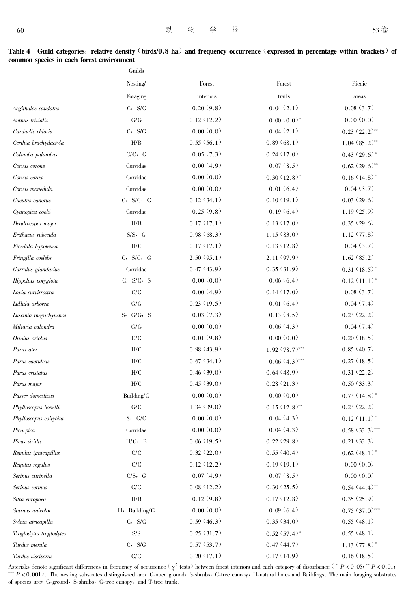Table 4 Guild categories, relative density (birds/0.8 ha) and frequency occurrence (expressed in percentage within brackets) of common species in each forest environment

|                         | Guilds                    |            |                  |                  |
|-------------------------|---------------------------|------------|------------------|------------------|
|                         | Nesting/                  | Forest     | Forest           | Picnic           |
|                         | Foraging                  | interiors  | trails           | areas            |
| Aegithalos caudatus     | $C$ , $S/C$               | 0.20(9.8)  | 0.04(2.1)        | 0.08(3.7)        |
| Anthus trivialis        | G/G                       | 0.12(12.2) | $0.00(0.0)*$     | 0.00(0.0)        |
| Carduelis chloris       | $C$ , $S/G$               | 0.00(0.0)  | 0.04(2.1)        | $0.23 (22.2)$ ** |
| Certhia brachydactyla   | H/B                       | 0.55(56.1) | 0.89(68.1)       | $1.04(85.2)$ **  |
| Columba palumbus        | $C/C$ , $G$               | 0.05(7.3)  | 0.24(17.0)       | $0.43(29.6)$ *   |
| Corvus corone           | Corvidae                  | 0.00(4.9)  | 0.07(8.5)        | $0.62 (29.6)$ ** |
| Corvus corax            | Corvidae                  | 0.00(0.0)  | $0.30(12.8)$ *   | $0.16(14.8)$ *   |
| Corvus monedula         | Corvidae                  | 0.00(0.0)  | 0.01(6.4)        | 0.04(3.7)        |
| Cuculus canorus         | $C$ , $S/C$ , $G$         | 0.12(34.1) | 0.10(19.1)       | 0.03(29.6)       |
| Cyanopica cooki         | Corvidae                  | 0.25(9.8)  | 0.19(6.4)        | 1.19(25.9)       |
| Dendrocopos major       | H/B                       | 0.17(17.1) | 0.13(17.0)       | 0.35(29.6)       |
| Erithacus rubecula      | $S/S$ , $G$               | 0.98(68.3) | 1.15(83.0)       | 1.12(77.8)       |
| Ficedula hypoleuca      | H/C                       | 0.17(17.1) | 0.13(12.8)       | 0.04(3.7)        |
| Fringilla coelebs       | $C$ , $S/C$ , $G$         | 2.50(95.1) | 2.11(97.9)       | 1.62(85.2)       |
| Garrulus glandarius     | Corvidae                  | 0.47(43.9) | 0.35(31.9)       | $0.31(18.5)$ *   |
| Hippolais polyglota     | $C$ , $S/C$ , $S$         | 0.00(0.0)  | 0.06(6.4)        | $0.12(11.1)^*$   |
| Loxia curvirrostra      | C/C                       | 0.00(4.9)  | 0.14(17.0)       | 0.08(3.7)        |
| Lullula arborea         | G/G                       | 0.23(19.5) | 0.01(6.4)        | 0.04(7.4)        |
| Luscinia megarhynchos   | S, G/G, S                 | 0.03(7.3)  | 0.13(8.5)        | 0.23(22.2)       |
| Miliaria calandra       | G/G                       | 0.00(0.0)  | 0.06(4.3)        | 0.04(7.4)        |
| Oriolus oriolus         | C/C                       | 0.01(9.8)  | 0.00(0.0)        | 0.20(18.5)       |
| Parus ater              | H/C                       | 0.98(43.9) | $1.92(78.7)$ *** | 0.85(40.7)       |
| Parus caeruleus         | H/C                       | 0.67(34.1) | $0.06(4.3)$ ***  | 0.27(18.5)       |
| Parus cristatus         | H/C                       | 0.46(39.0) | 0.64(48.9)       | 0.31(22.2)       |
| Parus major             | H/C                       | 0.45(39.0) | 0.28(21.3)       | 0.50(33.3)       |
| Passer domesticus       | Building/G                | 0.00(0.0)  | 0.00(0.0)        | $0.73(14.8)^*$   |
| Phylloscopus bonelli    | ${\mathrm G}/{\mathrm C}$ | 1.34(39.0) | $0.15(12.8)$ **  | 0.23(22.2)       |
| Phylloscopus collybita  | S, G/C                    | 0.00(0.0)  | 0.04(4.3)        | $0.12(11.1)^*$   |
| Pica pica               | Corvides                  | 0.00(0.0)  | 0.04(4.3)        | $0.58(33.3)$ *** |
| Picus viridis           | $H/G$ , $B$               | 0.06(19.5) | 0.22(29.8)       | 0.21(33.3)       |
| Regulus ignicapillus    | C/C                       | 0.32(22.0) | 0.55(40.4)       | $0.62(48.1)$ *   |
| Regulus regulus         | ${\rm C/C}$               | 0.12(12.2) | 0.19(19.1)       | 0.00(0.0)        |
| Serinus citrinella      | $C/S$ , $G$               | 0.07(4.9)  | 0.07(8.5)        | 0.00(0.0)        |
| Serinus serinus         | C/G                       | 0.08(12.2) | 0.30(25.5)       | $0.54(44.4)$ **  |
| Sitta europaea          | H/B                       | 0.12(9.8)  | 0.17(12.8)       | 0.35(25.9)       |
| Sturnus unicolor        | H, Building/G             | 0.00(0.0)  | 0.09(6.4)        | $0.75(37.0)$ *** |
| Sylvia atricapilla      | $C$ , $S/C$               | 0.59(46.3) | 0.35(34.0)       | 0.55(48.1)       |
| Troglodytes troglodytes | $\mathrm{S}/\mathrm{S}$   | 0.25(31.7) | $0.52(57.4)$ *   | 0.55(48.1)       |
| Turdus merula           | $C$ , $S/G$               | 0.57(53.7) | 0.47(44.7)       | $1.13(77.8)$ *   |
| Turdus viscivorus       | $\mathrm{C/G}$            | 0.20(17.1) | 0.17(14.9)       | 0.16(18.5)       |

Asterisks denote significant differences in frequency of occurrence  $(\chi^2 \text{ tests})$  between forest interiors and each category of disturbance  $(* P < 0.05; ** P < 0.01;$ \*\*\*  $P < 0.001$ ). The nesting substrates distinguished are: G-open ground, S-shrubs, C-tree canopy, H-natural holes and Buildings. The main foraging substrates of species are: G-ground, S-shrubs, C-tree canopy, and T-tree trunk.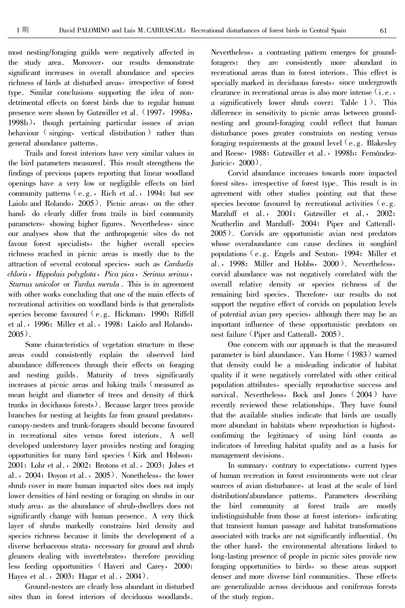most nesting/foraging guilds were negatively affected in the study area. Moreover, our results demonstrate significant increases in overall abundance and species richness of birds at disturbed areas, irrespective of forest type. Similar conclusions supporting the idea of nondetrimental effects on forest birds due to regular human presence were shown by Gutzwiller et al. (1997, 1998a, 1998b), though pertaining particular issues of avian behaviour (singing, vertical distribution) rather than general abundance patterns.

Trails and forest interiors have very similar values in the bird parameters measured. This result strengthens the findings of previous papers reporting that linear woodland openings have a very low or negligible effects on bird community patterns (e.g., Rich et al., 1994; but see Laiolo and Rolando, 2005). Picnic areas, on the other hand, do clearly differ from trails in bird community parameters, showing higher figures. Nevertheless, since our analyses show that the anthropogenic sites do not favour forest specialists, the higher overall species richness reached in picnic areas is mostly due to the attraction of several ecotonal species, such as Carduelis chloris, Hippolais polyglota, Pica pica, Serinus serinus, Sturnus unicolor or Turdus merula. This is in agreement with other works concluding that one of the main effects of recreational activities on woodland birds is that generalists species become favoured  $(e, g, Hickman, 1990; Riffell)$ et al., 1996; Miller et al., 1998; Laiolo and Rolando,  $2005$ ).

Some characteristics of vegetation structure in these areas could consistently explain the observed bird abundance differences through their effects on foraging and nesting guilds. Maturity of trees significantly increases at picnic areas and hiking trails (measured as mean height and diameter of trees and density of thick trunks in deciduous forests). Because larger trees provide branches for nesting at heights far from ground predators, canopy-nesters and trunk-foragers should become favoured in recreational sites versus forest interiors. A well developed understorey layer provides nesting and foraging opportunities for many bird species (Kirk and Hobson, 2001; Lohr et al., 2002; Brotons et al., 2003; Jobes et al.,  $2004$ ; Doyon et al.,  $2005$ ). Nonetheless, the lower shrub cover in more human impacted sites does not imply lower densities of bird nesting or foraging on shrubs in our study area, as the abundance of shrub-dwellers does not significantly change with human presence. A very thick layer of shrubs markedly constrains bird density and species richness because it limits the development of a diverse herbaceous strata, necessary for ground and shrub gleaners dealing with invertebrates, therefore providing less feeding opportunities (Haveri and Carey, 2000; Hayes et al.,  $2003$ ; Hagar et al.,  $2004$ ).

Ground-nesters are clearly less abundant in disturbed sites than in forest interiors of deciduous woodlands.

Nevertheless, a contrasting pattern emerges for groundforagers: they are consistently more abundant in recreational areas than in forest interiors. This effect is specially marked in deciduous forests, since undergrowth clearance in recreational areas is also more intense (i.e., a significatively lower shrub cover: Table 1). This difference in sensitivity to picnic areas between groundnesting and ground-foraging could reflect that human disturbance poses greater constraints on nesting versus foraging requirements at the ground level (e.g. Blakesley and Reese, 1988; Gutzwiller et al., 1998b; Fernández-Juricic,  $2000$ .

Corvid abundance increases towards more impacted forest sites, irrespective of forest type. This result is in agreement with other studies pointing out that these species become favoured by recreational activities  $(e, g, g)$ . Marzluff et al., 2001; Gutzwiller et al., 2002; Neatherlin and Marzluff, 2004; Piper and Catterall, 2005). Corvids are opportunistic avian nest predators whose overabundance can cause declines in songbird populations (e.g. Engels and Sexton, 1994; Miller et al., 1998; Miller and Hobbs,  $2000$ ). Nevertheless, corvid abundance was not negatively correlated with the overall relative density or species richness of the remaining bird species. Therefore, our results do not support the negative effect of corvids on population levels of potential avian prey species, although there may be an important influence of these opportunistic predators on nest failure (Piper and Catterall, 2005).

One concern with our approach is that the measured parameter is bird abundance. Van Horne (1983) warned that density could be a misleading indicator of habitat quality if it were negatively correlated with other critical population attributes, specially reproductive success and survival. Nevertheless, Bock and Jones (2004) have recently reviewed these relationships. They have found that the available studies indicate that birds are usually more abundant in habitats where reproduction is highest, confirming the legitimacy of using bird counts as indicators of breeding habitat quality and as a basis for management decisions.

In summary, contrary to expectations, current types of human recreation in forest environments were not clear sources of avian disturbance, at least at the scale of bird distribution/abundance patterns. Parameters describing the bird community at forest trails are mostly indistinguishable from those at forest interiors, indicating that transient human passage and habitat transformations associated with tracks are not significantly influential. On the other hand, the environmental alterations linked to long-lasting presence of people in picnic sites provide new foraging opportunities to birds, so these areas support denser and more diverse bird communities. These effects are generalizable across deciduous and coniferous forests of the study region.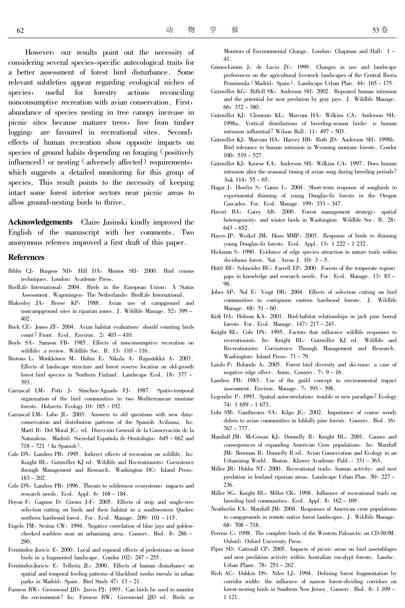However, our results point out the necessity of considering several species-specific autecological traits for a better assessment of forest bird disturbance. Some relevant subtleties appear regarding ecological niches of useful for forestry actions species, reconciling nonconsumptive recreation with avian conservation. First, abundance of species nesting in tree canopy increase in picnic sites because maturer trees, free from timber logging, are favoured in recreational sites. Second, effects of human recreation show opposite impacts on species of ground habits depending on foraging (positively influenced) or nesting (adversely affected) requirements, which suggests a detailed monitoring for this group of species. This result points to the necessity of keeping intact some forest interior sectors near picnic areas to allow ground-nesting birds to thrive.

**Acknowledgements** Claire Jasinski kindly improved the English of the manuscript with her comments. Two anonymous referees improved a first draft of this paper.

## **References**

- Bibby CJ, Burgess ND, Hill DA, Mustoe SH, 2000. Bird census techniques. London: Academic Press.
- BirdLife International, 2004. Birds in the European Union: A Status Assessment. Wageningen, The Netherlands: BirdLife International.
- Blakesley JA, Reese KP, 1988. Avian use of campground and noncampground sites in riparian zones. J. Wildlife Manage. 52: 399 - $402.$
- Bock CE, Jones ZF, 2004. Avian habitat evaluation: should counting birds count? Front. Ecol. Environ. 2: 403 - 410.
- Boyle SA, Samson FB, 1985. Effects of nonconsumptive recreation on wildlife: a review. Wildlife Soc. B.  $13: 110-116$ .
- Brotons L, Mönkkönen M, Huhta E, Nikula A, Rajasärkkä A, 2003. Effects of landscape structure and forest reserve location on old-growth forest bird species in Northern Finland. Landscape Ecol. 18: 377 -393
- Carrascal LM, Potti J, Sánchez-Aguado FJ, 1987. Spatio-temporal organization of the bird communities in two Mediterranean montane forests. Holarctic Ecology 10: 185 - 192.
- Carrascal LM, Lobo JL, 2003. Answers to old questions with new data: conservation and distribution patterns of the Spanish Avifauna. In: Martí R, Del Moral JC, ed. Dirección General de la Conservación de la Naturaleza. Madrid: Sociedad Española de Ornitología, 645 - 662 and  $718 - 721$  (In Spanish).
- Cole DN, Landres PB, 1995. Indirect effects of recreation on wildlife. In: Knight RL, Gutzwiller KJ ed. Wildlife and Recreationists: Coexistence through Management and Research. Washington DC: Island Press,  $183 - 202$ .
- Cole DN, Landres PB, 1996. Threats to wilderness ecosystems: impacts and research needs. Ecol. Appl.  $6: 168 - 184$ .
- Doyon F, Gagnon D, Giroux J-F, 2005. Effects of strip and single-tree selection cutting on birds and their habitat in a southwestern Quebec northern hardwood forest. For. Ecol. Manage. 209: 101 - 115.
- Engels TM, Sexton CW, 1994. Negative correlation of blue jays and goldencheeked warblers near an urbanizing area. Conserv. Biol. 8: 286 -290.
- Fernández-Juricic E, 2000. Local and regional effects of pedestrians on forest birds in a fragmented landscape. Condor  $102: 247 - 255$ .
- Fernández-Juricic E, Tellería JL, 2000. Effects of human disturbance on spatial and temporal feeding patterns of blackbird turdus merula in urban parks in Madrid, Spain. Bird Study 47: 13-21.
- Furness RW, Greenwood JJD, Jarvis PJ, 1993. Can birds be used to monitor the environment? In: Furness RW, Greenwood JJD ed. Birds as

Monitors of Environmental Change. London: Chapman and Hall, 1-41

- Gómez-Limón J, de Lucio JV, 1999. Changes in use and landscape preferences on the agricultural livestock landscapes of the Central Iberia Penninsula (Madrid, Spain). Landscape Urban Plan. 44: 165 - 175.
- Gutzwiller KG, Riffell SK, Anderson SH, 2002. Repeated human intrusion and the potential for nest predation by gray jays. J. Wildlife Manage.  $66: 372 - 380.$
- Gutzwiller KJ, Clements KL, Marcum HA, Wilkins CA, Anderson SH, 1998a. Vertical distributions of breeding-season birds: is human intrusion influential? Wilson Bull. 11: 497 - 503.
- Gutzwiller KJ, Marcum HA, Harvey HB, Roth JD, Anderson SH, 1998b. Bird tolerance to human intrusion in Wyoming montane forests. Condor  $100: 519 - 527.$
- Gutzwiller KJ, Kroese EA, Anderson SH, Wilkins CA, 1997. Does human intrusion alter the seasonal timing of avian song during breeding periods? Auk 114: 55 - 65.
- Hagar J, Howlin S, Ganio L, 2004. Short-term response of songbirds to experimental thinning of young Douglas-fir forests in the Oregon Cascades. For. Ecol. Manage.  $199: 333-347$ .
- Haveri BA, Carey AB, 2000. Forest management strategy, spatial heterogeneity, and winter birds in Washington. Wildlife Soc. B. 28:  $643 - 652$ .
- Hayes JP, Weikel JM, Huso MMP, 2003. Response of birds to thinning young Douglas-fir forests. Ecol. Appl. 13: 1 222 - 1 232.
- Hickman S, 1990. Evidence of edge species attraction to nature trails within deciduous forest. Nat. Areas J.  $10: 3-5$ .
- Hüttl RF, Schneider BU, Farrell EP, 2000. Forests of the temperate region: gaps in knowledge and research needs. For. Ecol. Manage.  $13: 83$  – 96
- Jobes AP, Nol E, Voigt DR, 2004. Effects of selection cutting on bird communities in contiguous eastern hardwood forests. J. Wildlife Manage.  $68: 51 - 60$ .
- Kirk DA, Hobson KA, 2001. Bird-habitat relationships in jack pine boreal forests. For. Ecol. Manage. 147: 217 - 243.
- Knight RL, Cole DN, 1995. Factors that influence wildlife responses to recreationists. In: Knight RL, Gutzwiller KJ ed. Wildlife and Recreationists: Coexistence Through Management and Research. Washington: Island Press, 71 - 79.
- Laiolo P, Rolando A, 2005. Forest bird diversity and ski-runs: a case of negative edge effect. Anim. Conserv. 7: 9 - 16.
- Landres PB, 1983. Use of the guild concept in environmental impact assessment. Environ. Manage. 7: 393 - 398.
- Legendre P, 1993. Spatial autocorrelation: trouble or new paradigm? Ecology  $74: 1659 - 1673.$
- Lohr SM, Gauthreaux SA, Kilgo JC, 2002. Importance of coarse woody debris to avian communities in loblolly pine forests. Conserv. Biol. 16:  $767 - 777$ .
- Marzluff JM, McGowan KJ, Donnelly R, Knight RL, 2001. Causes and consequences of expanding American Crow populations. In: Marzluff JM, Bowman R, Donnelly R ed. Avian Conservation and Ecology in an Urbanizing World. Boston. Kluwer Academic Publ., 331 - 363.
- Miller JR, Hobbs NT, 2000. Recreational trails, human activity, and nest predation in lowland riparian areas. Landscape Urban Plan. 50: 227 -236.
- Miller SG, Knight RL, Miller CK, 1998. Influence of recreational trails on breeding bird communities. Ecol. Appl.  $8: 162 - 169$ .
- Neatherlin EA, Marzluff JM, 2004. Responses of American crow populations to campgrounds in remote native forest landscapes. J. Wildlife Manage.  $68: 708 - 718.$
- Perrins C, 1998. The complete birds of the Western Palearctic on CD-ROM. Oxford: Oxford University Press.
- Piper SD, Catterall CP, 2005. Impacts of picnic areas on bird assemblages and nest predation activity within Australian eucalypt forests. Landsc. Urban Plann. 78: 251 - 262.
- Rich AC, Dobkin DS, Niles LJ, 1994. Defining forest fragmentation by corridor width: the influence of narrow forest-dividing corridors on forest-nesting birds in Southern New Jersey. Conserv. Biol. 8: 1 109 -1 1 2 1 .